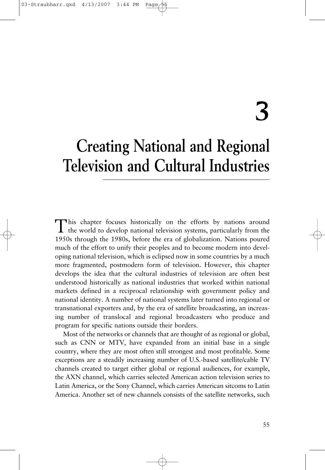**3**

# **Creating National and Regional Television and Cultural Industries**

This chapter focuses historically on the efforts by nations around the world to develop national television systems, particularly from the 1950s through the 1980s, before the era of globalization. Nations poured much of the effort to unify their peoples and to become modern into developing national television, which is eclipsed now in some countries by a much more fragmented, postmodern form of television. However, this chapter develops the idea that the cultural industries of television are often best understood historically as national industries that worked within national markets defined in a reciprocal relationship with government policy and national identity. A number of national systems later turned into regional or transnational exporters and, by the era of satellite broadcasting, an increasing number of translocal and regional broadcasters who produce and program for specific nations outside their borders.

Most of the networks or channels that are thought of as regional or global, such as CNN or MTV, have expanded from an initial base in a single country, where they are most often still strongest and most profitable. Some exceptions are a steadily increasing number of U.S.-based satellite/cable TV channels created to target either global or regional audiences, for example, the AXN channel, which carries selected American action television series to Latin America, or the Sony Channel, which carries American sitcoms to Latin America. Another set of new channels consists of the satellite networks, such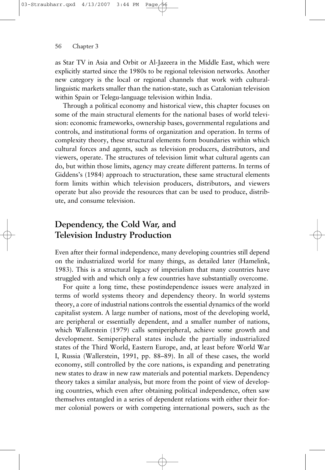as Star TV in Asia and Orbit or Al-Jazeera in the Middle East, which were explicitly started since the 1980s to be regional television networks. Another new category is the local or regional channels that work with culturallinguistic markets smaller than the nation-state, such as Catalonian television within Spain or Telegu-language television within India.

Through a political economy and historical view, this chapter focuses on some of the main structural elements for the national bases of world television: economic frameworks, ownership bases, governmental regulations and controls, and institutional forms of organization and operation. In terms of complexity theory, these structural elements form boundaries within which cultural forces and agents, such as television producers, distributors, and viewers, operate. The structures of television limit what cultural agents can do, but within those limits, agency may create different patterns. In terms of Giddens's (1984) approach to structuration, these same structural elements form limits within which television producers, distributors, and viewers operate but also provide the resources that can be used to produce, distribute, and consume television.

# **Dependency, the Cold War, and Television Industry Production**

Even after their formal independence, many developing countries still depend on the industrialized world for many things, as detailed later (Hamelink, 1983). This is a structural legacy of imperialism that many countries have struggled with and which only a few countries have substantially overcome.

For quite a long time, these postindependence issues were analyzed in terms of world systems theory and dependency theory. In world systems theory, a core of industrial nations controls the essential dynamics of the world capitalist system. A large number of nations, most of the developing world, are peripheral or essentially dependent, and a smaller number of nations, which Wallerstein (1979) calls semiperipheral, achieve some growth and development. Semiperipheral states include the partially industrialized states of the Third World, Eastern Europe, and, at least before World War I, Russia (Wallerstein, 1991, pp. 88–89). In all of these cases, the world economy, still controlled by the core nations, is expanding and penetrating new states to draw in new raw materials and potential markets. Dependency theory takes a similar analysis, but more from the point of view of developing countries, which even after obtaining political independence, often saw themselves entangled in a series of dependent relations with either their former colonial powers or with competing international powers, such as the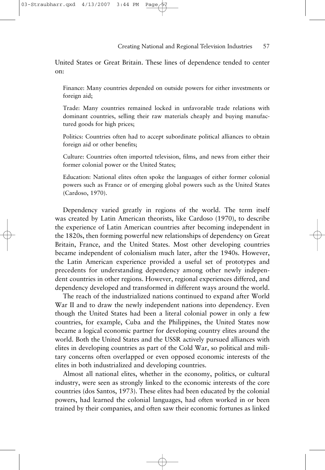United States or Great Britain. These lines of dependence tended to center on:

Finance: Many countries depended on outside powers for either investments or foreign aid;

Trade: Many countries remained locked in unfavorable trade relations with dominant countries, selling their raw materials cheaply and buying manufactured goods for high prices;

Politics: Countries often had to accept subordinate political alliances to obtain foreign aid or other benefits;

Culture: Countries often imported television, films, and news from either their former colonial power or the United States;

Education: National elites often spoke the languages of either former colonial powers such as France or of emerging global powers such as the United States (Cardoso, 1970).

Dependency varied greatly in regions of the world. The term itself was created by Latin American theorists, like Cardoso (1970), to describe the experience of Latin American countries after becoming independent in the 1820s, then forming powerful new relationships of dependency on Great Britain, France, and the United States. Most other developing countries became independent of colonialism much later, after the 1940s. However, the Latin American experience provided a useful set of prototypes and precedents for understanding dependency among other newly independent countries in other regions. However, regional experiences differed, and dependency developed and transformed in different ways around the world.

The reach of the industrialized nations continued to expand after World War II and to draw the newly independent nations into dependency. Even though the United States had been a literal colonial power in only a few countries, for example, Cuba and the Philippines, the United States now became a logical economic partner for developing country elites around the world. Both the United States and the USSR actively pursued alliances with elites in developing countries as part of the Cold War, so political and military concerns often overlapped or even opposed economic interests of the elites in both industrialized and developing countries.

Almost all national elites, whether in the economy, politics, or cultural industry, were seen as strongly linked to the economic interests of the core countries (dos Santos, 1973). These elites had been educated by the colonial powers, had learned the colonial languages, had often worked in or been trained by their companies, and often saw their economic fortunes as linked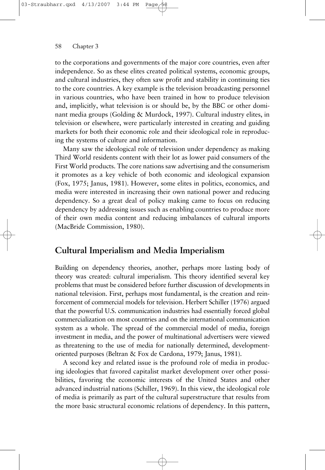to the corporations and governments of the major core countries, even after independence. So as these elites created political systems, economic groups, and cultural industries, they often saw profit and stability in continuing ties to the core countries. A key example is the television broadcasting personnel in various countries, who have been trained in how to produce television and, implicitly, what television is or should be, by the BBC or other dominant media groups (Golding & Murdock, 1997). Cultural industry elites, in television or elsewhere, were particularly interested in creating and guiding markets for both their economic role and their ideological role in reproducing the systems of culture and information.

Many saw the ideological role of television under dependency as making Third World residents content with their lot as lower paid consumers of the First World products. The core nations saw advertising and the consumerism it promotes as a key vehicle of both economic and ideological expansion (Fox, 1975; Janus, 1981). However, some elites in politics, economics, and media were interested in increasing their own national power and reducing dependency. So a great deal of policy making came to focus on reducing dependency by addressing issues such as enabling countries to produce more of their own media content and reducing imbalances of cultural imports (MacBride Commission, 1980).

# **Cultural Imperialism and Media Imperialism**

Building on dependency theories, another, perhaps more lasting body of theory was created: cultural imperialism. This theory identified several key problems that must be considered before further discussion of developments in national television. First, perhaps most fundamental, is the creation and reinforcement of commercial models for television. Herbert Schiller (1976) argued that the powerful U.S. communication industries had essentially forced global commercialization on most countries and on the international communication system as a whole. The spread of the commercial model of media, foreign investment in media, and the power of multinational advertisers were viewed as threatening to the use of media for nationally determined, developmentoriented purposes (Beltran & Fox de Cardona, 1979; Janus, 1981).

A second key and related issue is the profound role of media in producing ideologies that favored capitalist market development over other possibilities, favoring the economic interests of the United States and other advanced industrial nations (Schiller, 1969). In this view, the ideological role of media is primarily as part of the cultural superstructure that results from the more basic structural economic relations of dependency. In this pattern,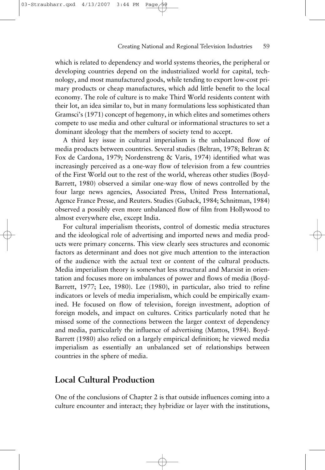which is related to dependency and world systems theories, the peripheral or developing countries depend on the industrialized world for capital, technology, and most manufactured goods, while tending to export low-cost primary products or cheap manufactures, which add little benefit to the local economy. The role of culture is to make Third World residents content with their lot, an idea similar to, but in many formulations less sophisticated than Gramsci's (1971) concept of hegemony, in which elites and sometimes others compete to use media and other cultural or informational structures to set a dominant ideology that the members of society tend to accept.

A third key issue in cultural imperialism is the unbalanced flow of media products between countries. Several studies (Beltran, 1978; Beltran & Fox de Cardona, 1979; Nordenstreng & Varis, 1974) identified what was increasingly perceived as a one-way flow of television from a few countries of the First World out to the rest of the world, whereas other studies (Boyd-Barrett, 1980) observed a similar one-way flow of news controlled by the four large news agencies, Associated Press, United Press International, Agence France Presse, and Reuters. Studies (Guback, 1984; Schnitman, 1984) observed a possibly even more unbalanced flow of film from Hollywood to almost everywhere else, except India.

For cultural imperialism theorists, control of domestic media structures and the ideological role of advertising and imported news and media products were primary concerns. This view clearly sees structures and economic factors as determinant and does not give much attention to the interaction of the audience with the actual text or content of the cultural products. Media imperialism theory is somewhat less structural and Marxist in orientation and focuses more on imbalances of power and flows of media (Boyd-Barrett, 1977; Lee, 1980). Lee (1980), in particular, also tried to refine indicators or levels of media imperialism, which could be empirically examined. He focused on flow of television, foreign investment, adoption of foreign models, and impact on cultures. Critics particularly noted that he missed some of the connections between the larger context of dependency and media, particularly the influence of advertising (Mattos, 1984). Boyd-Barrett (1980) also relied on a largely empirical definition; he viewed media imperialism as essentially an unbalanced set of relationships between countries in the sphere of media.

# **Local Cultural Production**

03-Straubharr

One of the conclusions of Chapter 2 is that outside influences coming into a culture encounter and interact; they hybridize or layer with the institutions,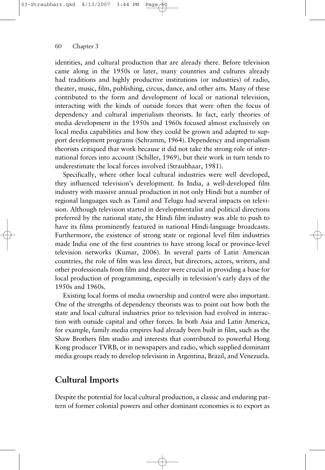identities, and cultural production that are already there. Before television came along in the 1950s or later, many countries and cultures already had traditions and highly productive institutions (or industries) of radio, theater, music, film, publishing, circus, dance, and other arts. Many of these contributed to the form and development of local or national television, interacting with the kinds of outside forces that were often the focus of dependency and cultural imperialism theorists. In fact, early theories of media development in the 1950s and 1960s focused almost exclusively on local media capabilities and how they could be grown and adapted to support development programs (Schramm, 1964). Dependency and imperialism theorists critiqued that work because it did not take the strong role of international forces into account (Schiller, 1969), but their work in turn tends to underestimate the local forces involved (Straubhaar, 1981).

Specifically, where other local cultural industries were well developed, they influenced television's development. In India, a well-developed film industry with massive annual production in not only Hindi but a number of regional languages such as Tamil and Telugu had several impacts on television. Although television started in developmentalist and political directions preferred by the national state, the Hindi film industry was able to push to have its films prominently featured in national Hindi-language broadcasts. Furthermore, the existence of strong state or regional level film industries made India one of the first countries to have strong local or province-level television networks (Kumar, 2006). In several parts of Latin American countries, the role of film was less direct, but directors, actors, writers, and other professionals from film and theater were crucial in providing a base for local production of programming, especially in television's early days of the 1950s and 1960s.

Existing local forms of media ownership and control were also important. One of the strengths of dependency theorists was to point out how both the state and local cultural industries prior to television had evolved in interaction with outside capital and other forces. In both Asia and Latin America, for example, family media empires had already been built in film, such as the Shaw Brothers film studio and interests that contributed to powerful Hong Kong producer TVRB, or in newspapers and radio, which supplied dominant media groups ready to develop television in Argentina, Brazil, and Venezuela.

# **Cultural Imports**

Despite the potential for local cultural production, a classic and enduring pattern of former colonial powers and other dominant economies is to export as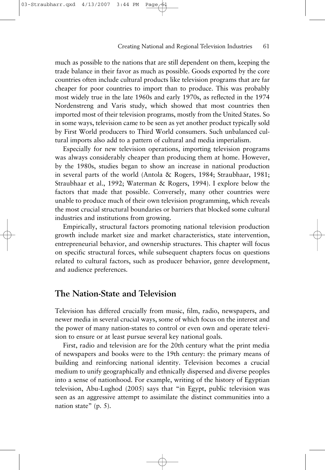much as possible to the nations that are still dependent on them, keeping the trade balance in their favor as much as possible. Goods exported by the core countries often include cultural products like television programs that are far cheaper for poor countries to import than to produce. This was probably most widely true in the late 1960s and early 1970s, as reflected in the 1974 Nordenstreng and Varis study, which showed that most countries then imported most of their television programs, mostly from the United States. So in some ways, television came to be seen as yet another product typically sold by First World producers to Third World consumers. Such unbalanced cultural imports also add to a pattern of cultural and media imperialism.

Especially for new television operations, importing television programs was always considerably cheaper than producing them at home. However, by the 1980s, studies began to show an increase in national production in several parts of the world (Antola & Rogers, 1984; Straubhaar, 1981; Straubhaar et al., 1992; Waterman & Rogers, 1994). I explore below the factors that made that possible. Conversely, many other countries were unable to produce much of their own television programming, which reveals the most crucial structural boundaries or barriers that blocked some cultural industries and institutions from growing.

Empirically, structural factors promoting national television production growth include market size and market characteristics, state intervention, entrepreneurial behavior, and ownership structures. This chapter will focus on specific structural forces, while subsequent chapters focus on questions related to cultural factors, such as producer behavior, genre development, and audience preferences.

# **The Nation-State and Television**

Television has differed crucially from music, film, radio, newspapers, and newer media in several crucial ways, some of which focus on the interest and the power of many nation-states to control or even own and operate television to ensure or at least pursue several key national goals.

First, radio and television are for the 20th century what the print media of newspapers and books were to the 19th century: the primary means of building and reinforcing national identity. Television becomes a crucial medium to unify geographically and ethnically dispersed and diverse peoples into a sense of nationhood. For example, writing of the history of Egyptian television, Abu-Lughod (2005) says that "in Egypt, public television was seen as an aggressive attempt to assimilate the distinct communities into a nation state"  $(p. 5)$ .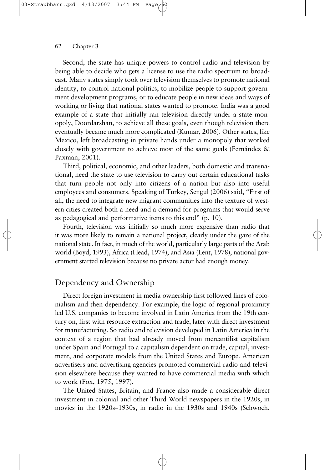Second, the state has unique powers to control radio and television by being able to decide who gets a license to use the radio spectrum to broadcast. Many states simply took over television themselves to promote national identity, to control national politics, to mobilize people to support government development programs, or to educate people in new ideas and ways of working or living that national states wanted to promote. India was a good example of a state that initially ran television directly under a state monopoly, Doordarshan, to achieve all these goals, even though television there eventually became much more complicated (Kumar, 2006). Other states, like Mexico, left broadcasting in private hands under a monopoly that worked closely with government to achieve most of the same goals (Fernández & Paxman, 2001).

Third, political, economic, and other leaders, both domestic and transnational, need the state to use television to carry out certain educational tasks that turn people not only into citizens of a nation but also into useful employees and consumers. Speaking of Turkey, Sengul (2006) said, "First of all, the need to integrate new migrant communities into the texture of western cities created both a need and a demand for programs that would serve as pedagogical and performative items to this end" (p. 10).

Fourth, television was initially so much more expensive than radio that it was more likely to remain a national project, clearly under the gaze of the national state. In fact, in much of the world, particularly large parts of the Arab world (Boyd, 1993), Africa (Head, 1974), and Asia (Lent, 1978), national government started television because no private actor had enough money.

## Dependency and Ownership

Direct foreign investment in media ownership first followed lines of colonialism and then dependency. For example, the logic of regional proximity led U.S. companies to become involved in Latin America from the 19th century on, first with resource extraction and trade, later with direct investment for manufacturing. So radio and television developed in Latin America in the context of a region that had already moved from mercantilist capitalism under Spain and Portugal to a capitalism dependent on trade, capital, investment, and corporate models from the United States and Europe. American advertisers and advertising agencies promoted commercial radio and television elsewhere because they wanted to have commercial media with which to work (Fox, 1975, 1997).

The United States, Britain, and France also made a considerable direct investment in colonial and other Third World newspapers in the 1920s, in movies in the 1920s–1930s, in radio in the 1930s and 1940s (Schwoch,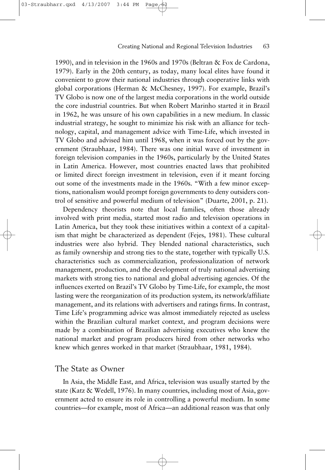1990), and in television in the 1960s and 1970s (Beltran & Fox de Cardona, 1979). Early in the 20th century, as today, many local elites have found it convenient to grow their national industries through cooperative links with global corporations (Herman & McChesney, 1997). For example, Brazil's TV Globo is now one of the largest media corporations in the world outside the core industrial countries. But when Robert Marinho started it in Brazil in 1962, he was unsure of his own capabilities in a new medium. In classic industrial strategy, he sought to minimize his risk with an alliance for technology, capital, and management advice with Time-Life, which invested in TV Globo and advised him until 1968, when it was forced out by the government (Straubhaar, 1984). There was one initial wave of investment in foreign television companies in the 1960s, particularly by the United States in Latin America. However, most countries enacted laws that prohibited or limited direct foreign investment in television, even if it meant forcing out some of the investments made in the 1960s. "With a few minor exceptions, nationalism would prompt foreign governments to deny outsiders control of sensitive and powerful medium of television" (Duarte, 2001, p. 21).

Dependency theorists note that local families, often those already involved with print media, started most radio and television operations in Latin America, but they took these initiatives within a context of a capitalism that might be characterized as dependent (Fejes, 1981). These cultural industries were also hybrid. They blended national characteristics, such as family ownership and strong ties to the state, together with typically U.S. characteristics such as commercialization, professionalization of network management, production, and the development of truly national advertising markets with strong ties to national and global advertising agencies. Of the influences exerted on Brazil's TV Globo by Time-Life, for example, the most lasting were the reorganization of its production system, its network/affiliate management, and its relations with advertisers and ratings firms. In contrast, Time Life's programming advice was almost immediately rejected as useless within the Brazilian cultural market context, and program decisions were made by a combination of Brazilian advertising executives who knew the national market and program producers hired from other networks who knew which genres worked in that market (Straubhaar, 1981, 1984).

## The State as Owner

03-Straubharr.qxd 4/13/2007 3:44 PM Page 63

In Asia, the Middle East, and Africa, television was usually started by the state (Katz & Wedell, 1976). In many countries, including most of Asia, government acted to ensure its role in controlling a powerful medium. In some countries—for example, most of Africa—an additional reason was that only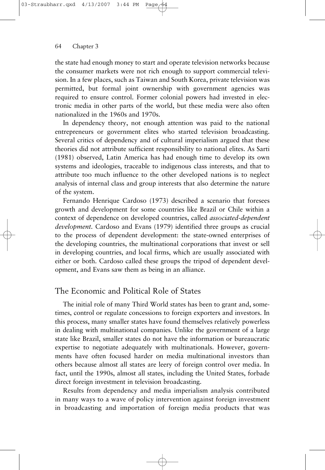the state had enough money to start and operate television networks because the consumer markets were not rich enough to support commercial television. In a few places, such as Taiwan and South Korea, private television was permitted, but formal joint ownership with government agencies was required to ensure control. Former colonial powers had invested in electronic media in other parts of the world, but these media were also often nationalized in the 1960s and 1970s.

In dependency theory, not enough attention was paid to the national entrepreneurs or government elites who started television broadcasting. Several critics of dependency and of cultural imperialism argued that these theories did not attribute sufficient responsibility to national elites. As Sarti (1981) observed, Latin America has had enough time to develop its own systems and ideologies, traceable to indigenous class interests, and that to attribute too much influence to the other developed nations is to neglect analysis of internal class and group interests that also determine the nature of the system.

Fernando Henrique Cardoso (1973) described a scenario that foresees growth and development for some countries like Brazil or Chile within a context of dependence on developed countries, called *associated-dependent development.* Cardoso and Evans (1979) identified three groups as crucial to the process of dependent development: the state-owned enterprises of the developing countries, the multinational corporations that invest or sell in developing countries, and local firms, which are usually associated with either or both. Cardoso called these groups the tripod of dependent development, and Evans saw them as being in an alliance.

## The Economic and Political Role of States

The initial role of many Third World states has been to grant and, sometimes, control or regulate concessions to foreign exporters and investors. In this process, many smaller states have found themselves relatively powerless in dealing with multinational companies. Unlike the government of a large state like Brazil, smaller states do not have the information or bureaucratic expertise to negotiate adequately with multinationals. However, governments have often focused harder on media multinational investors than others because almost all states are leery of foreign control over media. In fact, until the 1990s, almost all states, including the United States, forbade direct foreign investment in television broadcasting.

Results from dependency and media imperialism analysis contributed in many ways to a wave of policy intervention against foreign investment in broadcasting and importation of foreign media products that was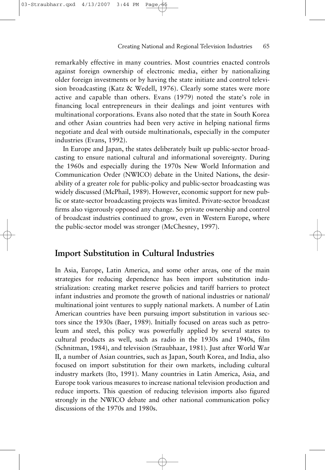remarkably effective in many countries. Most countries enacted controls against foreign ownership of electronic media, either by nationalizing older foreign investments or by having the state initiate and control television broadcasting (Katz & Wedell, 1976). Clearly some states were more active and capable than others. Evans (1979) noted the state's role in financing local entrepreneurs in their dealings and joint ventures with multinational corporations. Evans also noted that the state in South Korea and other Asian countries had been very active in helping national firms negotiate and deal with outside multinationals, especially in the computer industries (Evans, 1992).

In Europe and Japan, the states deliberately built up public-sector broadcasting to ensure national cultural and informational sovereignty. During the 1960s and especially during the 1970s New World Information and Communication Order (NWICO) debate in the United Nations, the desirability of a greater role for public-policy and public-sector broadcasting was widely discussed (McPhail, 1989). However, economic support for new public or state-sector broadcasting projects was limited. Private-sector broadcast firms also vigorously opposed any change. So private ownership and control of broadcast industries continued to grow, even in Western Europe, where the public-sector model was stronger (McChesney, 1997).

# **Import Substitution in Cultural Industries**

In Asia, Europe, Latin America, and some other areas, one of the main strategies for reducing dependence has been import substitution industrialization: creating market reserve policies and tariff barriers to protect infant industries and promote the growth of national industries or national/ multinational joint ventures to supply national markets. A number of Latin American countries have been pursuing import substitution in various sectors since the 1930s (Baer, 1989). Initially focused on areas such as petroleum and steel, this policy was powerfully applied by several states to cultural products as well, such as radio in the 1930s and 1940s, film (Schnitman, 1984), and television (Straubhaar, 1981). Just after World War II, a number of Asian countries, such as Japan, South Korea, and India, also focused on import substitution for their own markets, including cultural industry markets (Ito, 1991). Many countries in Latin America, Asia, and Europe took various measures to increase national television production and reduce imports. This question of reducing television imports also figured strongly in the NWICO debate and other national communication policy discussions of the 1970s and 1980s.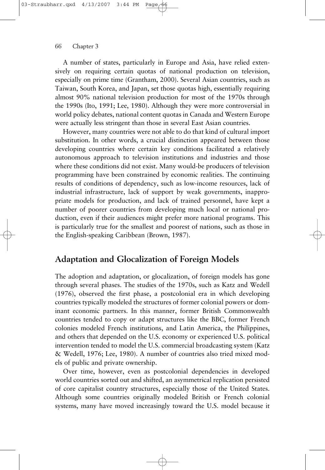A number of states, particularly in Europe and Asia, have relied extensively on requiring certain quotas of national production on television, especially on prime time (Grantham, 2000). Several Asian countries, such as Taiwan, South Korea, and Japan, set those quotas high, essentially requiring almost 90% national television production for most of the 1970s through the 1990s (Ito, 1991; Lee, 1980). Although they were more controversial in world policy debates, national content quotas in Canada and Western Europe were actually less stringent than those in several East Asian countries.

However, many countries were not able to do that kind of cultural import substitution. In other words, a crucial distinction appeared between those developing countries where certain key conditions facilitated a relatively autonomous approach to television institutions and industries and those where these conditions did not exist. Many would-be producers of television programming have been constrained by economic realities. The continuing results of conditions of dependency, such as low-income resources, lack of industrial infrastructure, lack of support by weak governments, inappropriate models for production, and lack of trained personnel, have kept a number of poorer countries from developing much local or national production, even if their audiences might prefer more national programs. This is particularly true for the smallest and poorest of nations, such as those in the English-speaking Caribbean (Brown, 1987).

## **Adaptation and Glocalization of Foreign Models**

The adoption and adaptation, or glocalization, of foreign models has gone through several phases. The studies of the 1970s, such as Katz and Wedell (1976), observed the first phase, a postcolonial era in which developing countries typically modeled the structures of former colonial powers or dominant economic partners. In this manner, former British Commonwealth countries tended to copy or adapt structures like the BBC, former French colonies modeled French institutions, and Latin America, the Philippines, and others that depended on the U.S. economy or experienced U.S. political intervention tended to model the U.S. commercial broadcasting system (Katz & Wedell, 1976; Lee, 1980). A number of countries also tried mixed models of public and private ownership.

Over time, however, even as postcolonial dependencies in developed world countries sorted out and shifted, an asymmetrical replication persisted of core capitalist country structures, especially those of the United States. Although some countries originally modeled British or French colonial systems, many have moved increasingly toward the U.S. model because it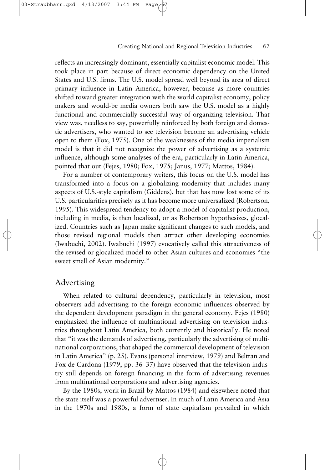reflects an increasingly dominant, essentially capitalist economic model. This took place in part because of direct economic dependency on the United States and U.S. firms. The U.S. model spread well beyond its area of direct primary influence in Latin America, however, because as more countries shifted toward greater integration with the world capitalist economy, policy makers and would-be media owners both saw the U.S. model as a highly functional and commercially successful way of organizing television. That view was, needless to say, powerfully reinforced by both foreign and domestic advertisers, who wanted to see television become an advertising vehicle open to them (Fox, 1975). One of the weaknesses of the media imperialism model is that it did not recognize the power of advertising as a systemic influence, although some analyses of the era, particularly in Latin America, pointed that out (Fejes, 1980; Fox, 1975; Janus, 1977; Mattos, 1984).

For a number of contemporary writers, this focus on the U.S. model has transformed into a focus on a globalizing modernity that includes many aspects of U.S.-style capitalism (Giddens), but that has now lost some of its U.S. particularities precisely as it has become more universalized (Robertson, 1995). This widespread tendency to adopt a model of capitalist production, including in media, is then localized, or as Robertson hypothesizes, glocalized. Countries such as Japan make significant changes to such models, and those revised regional models then attract other developing economies (Iwabuchi, 2002). Iwabuchi (1997) evocatively called this attractiveness of the revised or glocalized model to other Asian cultures and economies "the sweet smell of Asian modernity."

## Advertising

When related to cultural dependency, particularly in television, most observers add advertising to the foreign economic influences observed by the dependent development paradigm in the general economy. Fejes (1980) emphasized the influence of multinational advertising on television industries throughout Latin America, both currently and historically. He noted that "it was the demands of advertising, particularly the advertising of multinational corporations, that shaped the commercial development of television in Latin America" (p. 25). Evans (personal interview, 1979) and Beltran and Fox de Cardona (1979, pp. 36–37) have observed that the television industry still depends on foreign financing in the form of advertising revenues from multinational corporations and advertising agencies.

By the 1980s, work in Brazil by Mattos (1984) and elsewhere noted that the state itself was a powerful advertiser. In much of Latin America and Asia in the 1970s and 1980s, a form of state capitalism prevailed in which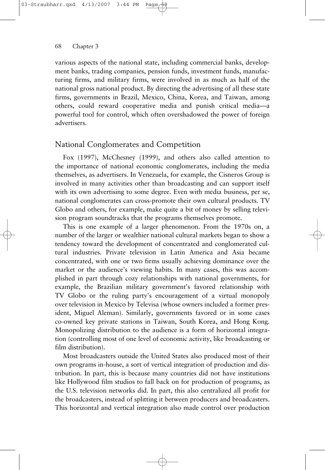various aspects of the national state, including commercial banks, development banks, trading companies, pension funds, investment funds, manufacturing firms, and military firms, were involved in as much as half of the national gross national product. By directing the advertising of all these state firms, governments in Brazil, Mexico, China, Korea, and Taiwan, among others, could reward cooperative media and punish critical media—a powerful tool for control, which often overshadowed the power of foreign advertisers.

## National Conglomerates and Competition

Fox (1997), McChesney (1999), and others also called attention to the importance of national economic conglomerates, including the media themselves, as advertisers. In Venezuela, for example, the Cisneros Group is involved in many activities other than broadcasting and can support itself with its own advertising to some degree. Even with media business, per se, national conglomerates can cross-promote their own cultural products. TV Globo and others, for example, make quite a bit of money by selling television program soundtracks that the programs themselves promote.

This is one example of a larger phenomenon. From the 1970s on, a number of the larger or wealthier national cultural markets began to show a tendency toward the development of concentrated and conglomerated cultural industries. Private television in Latin America and Asia became concentrated, with one or two firms usually achieving dominance over the market or the audience's viewing habits. In many cases, this was accomplished in part through cozy relationships with national governments, for example, the Brazilian military government's favored relationship with TV Globo or the ruling party's encouragement of a virtual monopoly over television in Mexico by Televisa (whose owners included a former president, Miguel Aleman). Similarly, governments favored or in some cases co-owned key private stations in Taiwan, South Korea, and Hong Kong. Monopolizing distribution to the audience is a form of horizontal integration (controlling most of one level of economic activity, like broadcasting or film distribution).

Most broadcasters outside the United States also produced most of their own programs in-house, a sort of vertical integration of production and distribution. In part, this is because many countries did not have institutions like Hollywood film studios to fall back on for production of programs, as the U.S. television networks did. In part, this also centralized all profit for the broadcasters, instead of splitting it between producers and broadcasters. This horizontal and vertical integration also made control over production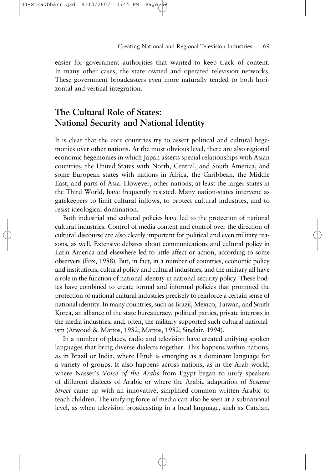easier for government authorities that wanted to keep track of content. In many other cases, the state owned and operated television networks. These government broadcasters even more naturally tended to both horizontal and vertical integration.

# **The Cultural Role of States: National Security and National Identity**

03-Straubharr.qxd 4/13/2007 3:44 PM Page 69

It is clear that the core countries try to assert political and cultural hegemonies over other nations. At the most obvious level, there are also regional economic hegemonies in which Japan asserts special relationships with Asian countries, the United States with North, Central, and South America, and some European states with nations in Africa, the Caribbean, the Middle East, and parts of Asia. However, other nations, at least the larger states in the Third World, have frequently resisted. Many nation-states intervene as gatekeepers to limit cultural inflows, to protect cultural industries, and to resist ideological domination.

Both industrial and cultural policies have led to the protection of national cultural industries. Control of media content and control over the direction of cultural discourse are also clearly important for political and even military reasons, as well. Extensive debates about communications and cultural policy in Latin America and elsewhere led to little affect or action, according to some observers (Fox, 1988). But, in fact, in a number of countries, economic policy and institutions, cultural policy and cultural industries, and the military all have a role in the function of national identity in national security policy. These bodies have combined to create formal and informal policies that promoted the protection of national cultural industries precisely to reinforce a certain sense of national identity. In many countries, such as Brazil, Mexico, Taiwan, and South Korea, an alliance of the state bureaucracy, political parties, private interests in the media industries, and, often, the military supported such cultural nationalism (Atwood & Mattos, 1982; Mattos, 1982; Sinclair, 1994).

In a number of places, radio and television have created unifying spoken languages that bring diverse dialects together. This happens within nations, as in Brazil or India, where Hindi is emerging as a dominant language for a variety of groups. It also happens across nations, as in the Arab world, where Nasser's *Voice of the Arabs* from Egypt began to unify speakers of different dialects of Arabic or where the Arabic adaptation of *Sesame Street* came up with an innovative, simplified common written Arabic to teach children. The unifying force of media can also be seen at a subnational level, as when television broadcasting in a local language, such as Catalan,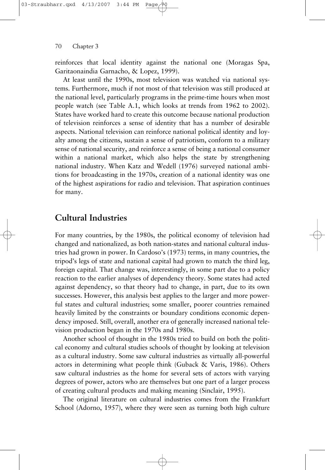reinforces that local identity against the national one (Moragas Spa, Garitaonaindia Garnacho, & Lopez, 1999).

At least until the 1990s, most television was watched via national systems. Furthermore, much if not most of that television was still produced at the national level, particularly programs in the prime-time hours when most people watch (see Table A.1, which looks at trends from 1962 to 2002). States have worked hard to create this outcome because national production of television reinforces a sense of identity that has a number of desirable aspects. National television can reinforce national political identity and loyalty among the citizens, sustain a sense of patriotism, conform to a military sense of national security, and reinforce a sense of being a national consumer within a national market, which also helps the state by strengthening national industry. When Katz and Wedell (1976) surveyed national ambitions for broadcasting in the 1970s, creation of a national identity was one of the highest aspirations for radio and television. That aspiration continues for many.

# **Cultural Industries**

For many countries, by the 1980s, the political economy of television had changed and nationalized, as both nation-states and national cultural industries had grown in power. In Cardoso's (1973) terms, in many countries, the tripod's legs of state and national capital had grown to match the third leg, foreign capital. That change was, interestingly, in some part due to a policy reaction to the earlier analyses of dependency theory. Some states had acted against dependency, so that theory had to change, in part, due to its own successes. However, this analysis best applies to the larger and more powerful states and cultural industries; some smaller, poorer countries remained heavily limited by the constraints or boundary conditions economic dependency imposed. Still, overall, another era of generally increased national television production began in the 1970s and 1980s.

Another school of thought in the 1980s tried to build on both the political economy and cultural studies schools of thought by looking at television as a cultural industry. Some saw cultural industries as virtually all-powerful actors in determining what people think (Guback & Varis, 1986). Others saw cultural industries as the home for several sets of actors with varying degrees of power, actors who are themselves but one part of a larger process of creating cultural products and making meaning (Sinclair, 1995).

The original literature on cultural industries comes from the Frankfurt School (Adorno, 1957), where they were seen as turning both high culture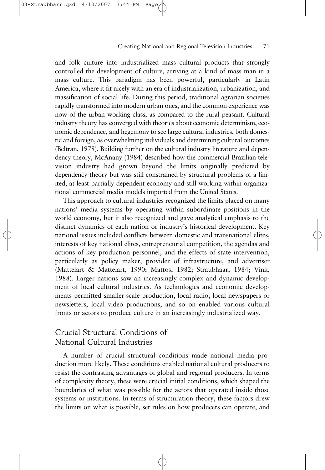and folk culture into industrialized mass cultural products that strongly controlled the development of culture, arriving at a kind of mass man in a mass culture. This paradigm has been powerful, particularly in Latin America, where it fit nicely with an era of industrialization, urbanization, and massification of social life. During this period, traditional agrarian societies rapidly transformed into modern urban ones, and the common experience was now of the urban working class, as compared to the rural peasant. Cultural industry theory has converged with theories about economic determinism, economic dependence, and hegemony to see large cultural industries, both domestic and foreign, as overwhelming individuals and determining cultural outcomes (Beltran, 1978). Building further on the cultural industry literature and dependency theory, McAnany (1984) described how the commercial Brazilian television industry had grown beyond the limits originally predicted by dependency theory but was still constrained by structural problems of a limited, at least partially dependent economy and still working within organizational commercial media models imported from the United States.

This approach to cultural industries recognized the limits placed on many nations' media systems by operating within subordinate positions in the world economy, but it also recognized and gave analytical emphasis to the distinct dynamics of each nation or industry's historical development. Key national issues included conflicts between domestic and transnational elites, interests of key national elites, entrepreneurial competition, the agendas and actions of key production personnel, and the effects of state intervention, particularly as policy maker, provider of infrastructure, and advertiser (Mattelart & Mattelart, 1990; Mattos, 1982; Straubhaar, 1984; Vink, 1988). Larger nations saw an increasingly complex and dynamic development of local cultural industries. As technologies and economic developments permitted smaller-scale production, local radio, local newspapers or newsletters, local video productions, and so on enabled various cultural fronts or actors to produce culture in an increasingly industrialized way.

# Crucial Structural Conditions of National Cultural Industries

A number of crucial structural conditions made national media production more likely. These conditions enabled national cultural producers to resist the contrasting advantages of global and regional producers. In terms of complexity theory, these were crucial initial conditions, which shaped the boundaries of what was possible for the actors that operated inside those systems or institutions. In terms of structuration theory, these factors drew the limits on what is possible, set rules on how producers can operate, and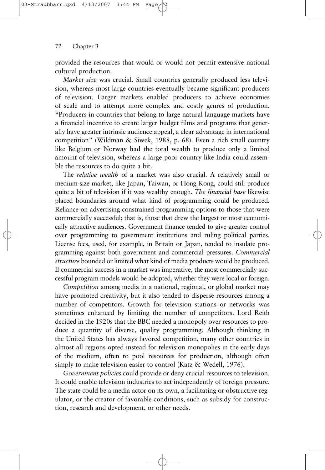provided the resources that would or would not permit extensive national cultural production.

*Market size* was crucial. Small countries generally produced less television, whereas most large countries eventually became significant producers of television. Larger markets enabled producers to achieve economies of scale and to attempt more complex and costly genres of production. "Producers in countries that belong to large natural language markets have a financial incentive to create larger budget films and programs that generally have greater intrinsic audience appeal, a clear advantage in international competition" (Wildman & Siwek, 1988, p. 68). Even a rich small country like Belgium or Norway had the total wealth to produce only a limited amount of television, whereas a large poor country like India could assemble the resources to do quite a bit.

The *relative wealth* of a market was also crucial. A relatively small or medium-size market, like Japan, Taiwan, or Hong Kong, could still produce quite a bit of television if it was wealthy enough. *The financial base* likewise placed boundaries around what kind of programming could be produced. Reliance on advertising constrained programming options to those that were commercially successful; that is, those that drew the largest or most economically attractive audiences. Government finance tended to give greater control over programming to government institutions and ruling political parties. License fees, used, for example, in Britain or Japan, tended to insulate programming against both government and commercial pressures. *Commercial structure* bounded or limited what kind of media products would be produced. If commercial success in a market was imperative, the most commercially successful program models would be adopted, whether they were local or foreign.

*Competition* among media in a national, regional, or global market may have promoted creativity, but it also tended to disperse resources among a number of competitors. Growth for television stations or networks was sometimes enhanced by limiting the number of competitors. Lord Reith decided in the 1920s that the BBC needed a monopoly over resources to produce a quantity of diverse, quality programming. Although thinking in the United States has always favored competition, many other countries in almost all regions opted instead for television monopolies in the early days of the medium, often to pool resources for production, although often simply to make television easier to control (Katz & Wedell, 1976).

*Government policies* could provide or deny crucial resources to television. It could enable television industries to act independently of foreign pressure. The state could be a media actor on its own, a facilitating or obstructive regulator, or the creator of favorable conditions, such as subsidy for construction, research and development, or other needs.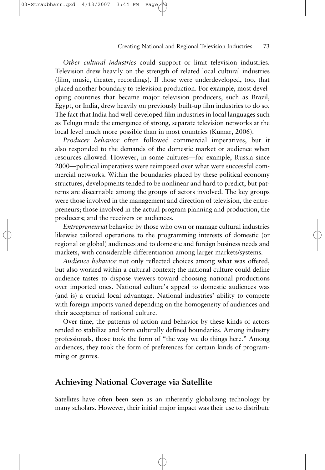*Other cultural industries* could support or limit television industries. Television drew heavily on the strength of related local cultural industries (film, music, theater, recordings). If those were underdeveloped, too, that placed another boundary to television production. For example, most developing countries that became major television producers, such as Brazil, Egypt, or India, drew heavily on previously built-up film industries to do so. The fact that India had well-developed film industries in local languages such as Telugu made the emergence of strong, separate television networks at the local level much more possible than in most countries (Kumar, 2006).

03-Straubharr.qxd 4/13/2007 3:44 PM Page  $\frac{1}{3}$ 

*Producer behavior* often followed commercial imperatives, but it also responded to the demands of the domestic market or audience when resources allowed. However, in some cultures—for example, Russia since 2000—political imperatives were reimposed over what were successful commercial networks. Within the boundaries placed by these political economy structures, developments tended to be nonlinear and hard to predict, but patterns are discernable among the groups of actors involved. The key groups were those involved in the management and direction of television, the entrepreneurs; those involved in the actual program planning and production, the producers; and the receivers or audiences.

*Entrepreneurial* behavior by those who own or manage cultural industries likewise tailored operations to the programming interests of domestic (or regional or global) audiences and to domestic and foreign business needs and markets, with considerable differentiation among larger markets/systems.

*Audience behavior* not only reflected choices among what was offered, but also worked within a cultural context; the national culture could define audience tastes to dispose viewers toward choosing national productions over imported ones. National culture's appeal to domestic audiences was (and is) a crucial local advantage. National industries' ability to compete with foreign imports varied depending on the homogeneity of audiences and their acceptance of national culture.

Over time, the patterns of action and behavior by these kinds of actors tended to stabilize and form culturally defined boundaries. Among industry professionals, those took the form of "the way we do things here." Among audiences, they took the form of preferences for certain kinds of programming or genres.

## **Achieving National Coverage via Satellite**

Satellites have often been seen as an inherently globalizing technology by many scholars. However, their initial major impact was their use to distribute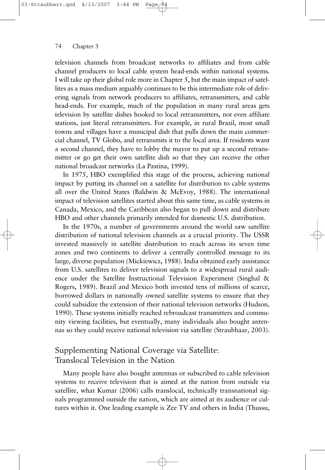television channels from broadcast networks to affiliates and from cable channel producers to local cable system head-ends within national systems. I will take up their global role more in Chapter 5, but the main impact of satellites as a mass medium arguably continues to be this intermediate role of delivering signals from network producers to affiliates, retransmitters, and cable head-ends. For example, much of the population in many rural areas gets television by satellite dishes hooked to local retransmitters, not even affiliate stations, just literal retransmitters. For example, in rural Brazil, most small towns and villages have a municipal dish that pulls down the main commercial channel, TV Globo, and retransmits it to the local area. If residents want a second channel, they have to lobby the mayor to put up a second retransmitter or go get their own satellite dish so that they can receive the other national broadcast networks (La Pastina, 1999).

In 1975, HBO exemplified this stage of the process, achieving national impact by putting its channel on a satellite for distribution to cable systems all over the United States (Baldwin & McEvoy, 1988). The international impact of television satellites started about this same time, as cable systems in Canada, Mexico, and the Caribbean also began to pull down and distribute HBO and other channels primarily intended for domestic U.S. distribution.

In the 1970s, a number of governments around the world saw satellite distribution of national television channels as a crucial priority. The USSR invested massively in satellite distribution to reach across its seven time zones and two continents to deliver a centrally controlled message to its large, diverse population (Mickiewicz, 1988). India obtained early assistance from U.S. satellites to deliver television signals to a widespread rural audience under the Satellite Instructional Television Experiment (Singhal & Rogers, 1989). Brazil and Mexico both invested tens of millions of scarce, borrowed dollars in nationally owned satellite systems to ensure that they could subsidize the extension of their national television networks (Hudson*,* 1990). These systems initially reached rebroadcast transmitters and community viewing facilities, but eventually, many individuals also bought antennas so they could receive national television via satellite (Straubhaar, 2003).

# Supplementing National Coverage via Satellite: Translocal Television in the Nation

Many people have also bought antennas or subscribed to cable television systems to receive television that is aimed at the nation from outside via satellite, what Kumar (2006) calls translocal, technically transnational signals programmed outside the nation, which are aimed at its audience or cultures within it. One leading example is Zee TV and others in India (Thussu,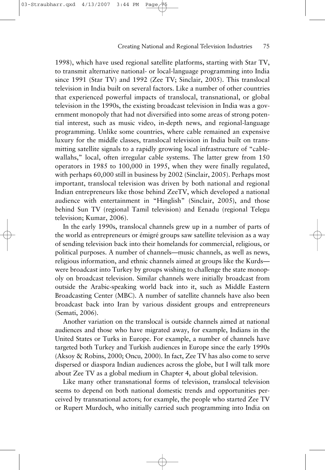1998), which have used regional satellite platforms, starting with Star TV, to transmit alternative national- or local-language programming into India since 1991 (Star TV) and 1992 (Zee TV; Sinclair, 2005). This translocal television in India built on several factors. Like a number of other countries that experienced powerful impacts of translocal, transnational, or global television in the 1990s, the existing broadcast television in India was a government monopoly that had not diversified into some areas of strong potential interest, such as music video, in-depth news, and regional-language programming. Unlike some countries, where cable remained an expensive luxury for the middle classes, translocal television in India built on transmitting satellite signals to a rapidly growing local infrastructure of "cablewallahs," local, often irregular cable systems. The latter grew from 150 operators in 1985 to 100,000 in 1995, when they were finally regulated, with perhaps 60,000 still in business by 2002 (Sinclair, 2005). Perhaps most important, translocal television was driven by both national and regional Indian entrepreneurs like those behind ZeeTV, which developed a national audience with entertainment in "Hinglish" (Sinclair, 2005), and those behind Sun TV (regional Tamil television) and Eenadu (regional Telegu television; Kumar, 2006).

03-Straubharr.qxd 4/13/2007 3:44 PM Page  $\frac{1}{\sqrt{5}}$ 

In the early 1990s, translocal channels grew up in a number of parts of the world as entrepreneurs or émigré groups saw satellite television as a way of sending television back into their homelands for commercial, religious, or political purposes. A number of channels—music channels, as well as news, religious information, and ethnic channels aimed at groups like the Kurds were broadcast into Turkey by groups wishing to challenge the state monopoly on broadcast television. Similar channels were initially broadcast from outside the Arabic-speaking world back into it, such as Middle Eastern Broadcasting Center (MBC). A number of satellite channels have also been broadcast back into Iran by various dissident groups and entrepreneurs (Semati, 2006).

Another variation on the translocal is outside channels aimed at national audiences and those who have migrated away, for example, Indians in the United States or Turks in Europe. For example, a number of channels have targeted both Turkey and Turkish audiences in Europe since the early 1990s (Aksoy & Robins, 2000; Oncu*,* 2000). In fact, Zee TV has also come to serve dispersed or diaspora Indian audiences across the globe, but I will talk more about Zee TV as a global medium in Chapter 4, about global television.

Like many other transnational forms of television, translocal television seems to depend on both national domestic trends and opportunities perceived by transnational actors; for example, the people who started Zee TV or Rupert Murdoch, who initially carried such programming into India on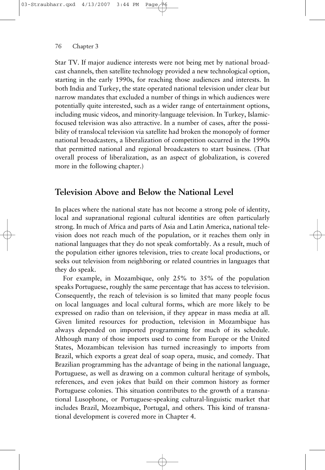Star TV. If major audience interests were not being met by national broadcast channels, then satellite technology provided a new technological option, starting in the early 1990s, for reaching those audiences and interests. In both India and Turkey, the state operated national television under clear but narrow mandates that excluded a number of things in which audiences were potentially quite interested, such as a wider range of entertainment options, including music videos, and minority-language television. In Turkey, Islamicfocused television was also attractive. In a number of cases, after the possibility of translocal television via satellite had broken the monopoly of former national broadcasters, a liberalization of competition occurred in the 1990s that permitted national and regional broadcasters to start business. (That overall process of liberalization, as an aspect of globalization, is covered more in the following chapter.)

# **Television Above and Below the National Level**

In places where the national state has not become a strong pole of identity, local and supranational regional cultural identities are often particularly strong. In much of Africa and parts of Asia and Latin America, national television does not reach much of the population, or it reaches them only in national languages that they do not speak comfortably. As a result, much of the population either ignores television, tries to create local productions, or seeks out television from neighboring or related countries in languages that they do speak.

For example, in Mozambique, only 25% to 35% of the population speaks Portuguese, roughly the same percentage that has access to television. Consequently, the reach of television is so limited that many people focus on local languages and local cultural forms, which are more likely to be expressed on radio than on television, if they appear in mass media at all. Given limited resources for production, television in Mozambique has always depended on imported programming for much of its schedule. Although many of those imports used to come from Europe or the United States, Mozambican television has turned increasingly to imports from Brazil, which exports a great deal of soap opera, music, and comedy. That Brazilian programming has the advantage of being in the national language, Portuguese, as well as drawing on a common cultural heritage of symbols, references, and even jokes that build on their common history as former Portuguese colonies. This situation contributes to the growth of a transnational Lusophone, or Portuguese-speaking cultural-linguistic market that includes Brazil, Mozambique, Portugal, and others. This kind of transnational development is covered more in Chapter 4.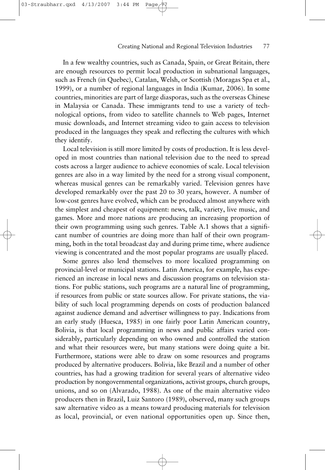In a few wealthy countries, such as Canada, Spain, or Great Britain, there are enough resources to permit local production in subnational languages, such as French (in Quebec), Catalan, Welsh, or Scottish (Moragas Spa et al., 1999), or a number of regional languages in India (Kumar, 2006). In some countries, minorities are part of large diasporas, such as the overseas Chinese in Malaysia or Canada. These immigrants tend to use a variety of technological options, from video to satellite channels to Web pages, Internet music downloads, and Internet streaming video to gain access to television produced in the languages they speak and reflecting the cultures with which they identify.

03-Straubharr.qxd  $4/13/2007$  3:44 PM Page $\sqrt{7}$ 

Local television is still more limited by costs of production. It is less developed in most countries than national television due to the need to spread costs across a larger audience to achieve economies of scale. Local television genres are also in a way limited by the need for a strong visual component, whereas musical genres can be remarkably varied. Television genres have developed remarkably over the past 20 to 30 years, however. A number of low-cost genres have evolved, which can be produced almost anywhere with the simplest and cheapest of equipment: news, talk, variety, live music, and games. More and more nations are producing an increasing proportion of their own programming using such genres. Table A.1 shows that a significant number of countries are doing more than half of their own programming, both in the total broadcast day and during prime time, where audience viewing is concentrated and the most popular programs are usually placed.

Some genres also lend themselves to more localized programming on provincial-level or municipal stations. Latin America, for example, has experienced an increase in local news and discussion programs on television stations. For public stations, such programs are a natural line of programming, if resources from public or state sources allow. For private stations, the viability of such local programming depends on costs of production balanced against audience demand and advertiser willingness to pay. Indications from an early study (Huesca, 1985) in one fairly poor Latin American country, Bolivia, is that local programming in news and public affairs varied considerably, particularly depending on who owned and controlled the station and what their resources were, but many stations were doing quite a bit. Furthermore, stations were able to draw on some resources and programs produced by alternative producers. Bolivia, like Brazil and a number of other countries, has had a growing tradition for several years of alternative video production by nongovernmental organizations, activist groups, church groups, unions, and so on (Alvarado, 1988). As one of the main alternative video producers then in Brazil, Luiz Santoro (1989), observed, many such groups saw alternative video as a means toward producing materials for television as local, provincial, or even national opportunities open up. Since then,